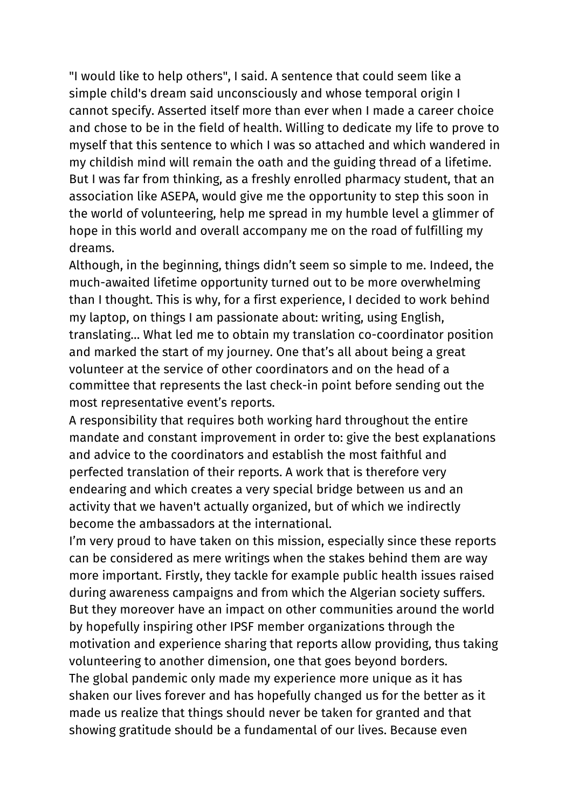"I would like to help others", I said. A sentence that could seem like a simple child's dream said unconsciously and whose temporal origin I cannot specify. Asserted itself more than ever when I made a career choice and chose to be in the field of health. Willing to dedicate my life to prove to myself that this sentence to which I was so attached and which wandered in my childish mind will remain the oath and the guiding thread of a lifetime. But I was far from thinking, as a freshly enrolled pharmacy student, that an association like ASEPA, would give me the opportunity to step this soon in the world of volunteering, help me spread in my humble level a glimmer of hope in this world and overall accompany me on the road of fulfilling my dreams.

Although, in the beginning, things didn't seem so simple to me. Indeed, the much-awaited lifetime opportunity turned out to be more overwhelming than I thought. This is why, for a first experience, I decided to work behind my laptop, on things I am passionate about: writing, using English, translating… What led me to obtain my translation co-coordinator position and marked the start of my journey. One that's all about being a great volunteer at the service of other coordinators and on the head of a committee that represents the last check-in point before sending out the most representative event's reports.

A responsibility that requires both working hard throughout the entire mandate and constant improvement in order to: give the best explanations and advice to the coordinators and establish the most faithful and perfected translation of their reports. A work that is therefore very endearing and which creates a very special bridge between us and an activity that we haven't actually organized, but of which we indirectly become the ambassadors at the international.

I'm very proud to have taken on this mission, especially since these reports can be considered as mere writings when the stakes behind them are way more important. Firstly, they tackle for example public health issues raised during awareness campaigns and from which the Algerian society suffers. But they moreover have an impact on other communities around the world by hopefully inspiring other IPSF member organizations through the motivation and experience sharing that reports allow providing, thus taking volunteering to another dimension, one that goes beyond borders. The global pandemic only made my experience more unique as it has shaken our lives forever and has hopefully changed us for the better as it made us realize that things should never be taken for granted and that showing gratitude should be a fundamental of our lives. Because even